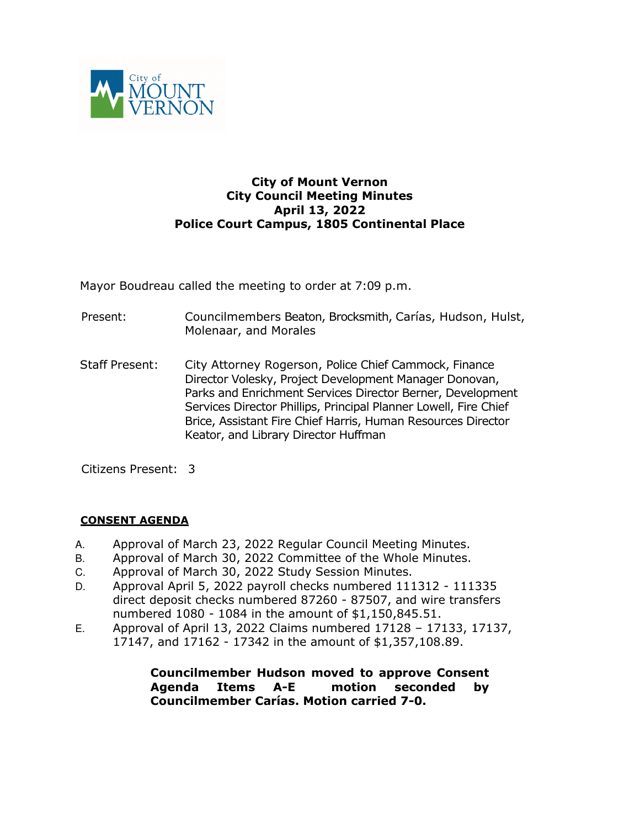

### **City of Mount Vernon City Council Meeting Minutes April 13, 2022 Police Court Campus, 1805 Continental Place**

Mayor Boudreau called the meeting to order at 7:09 p.m.

- Present: Councilmembers Beaton, Brocksmith, Carías, Hudson, Hulst, Molenaar, and Morales
- Staff Present: City Attorney Rogerson, Police Chief Cammock, Finance Director Volesky, Project Development Manager Donovan, Parks and Enrichment Services Director Berner, Development Services Director Phillips, Principal Planner Lowell, Fire Chief Brice, Assistant Fire Chief Harris, Human Resources Director Keator, and Library Director Huffman

Citizens Present: 3

### **CONSENT AGENDA**

- A. Approval of March 23, 2022 Regular Council Meeting Minutes.
- B. Approval of March 30, 2022 Committee of the Whole Minutes.
- C. Approval of March 30, 2022 Study Session Minutes.
- D. Approval April 5, 2022 payroll checks numbered 111312 111335 direct deposit checks numbered 87260 - 87507, and wire transfers numbered 1080 - 1084 in the amount of \$1,150,845.51.
- E. Approval of April 13, 2022 Claims numbered 17128 17133, 17137, 17147, and 17162 - 17342 in the amount of \$1,357,108.89.

**Councilmember Hudson moved to approve Consent Agenda Items A-E motion seconded by Councilmember Carías. Motion carried 7-0.**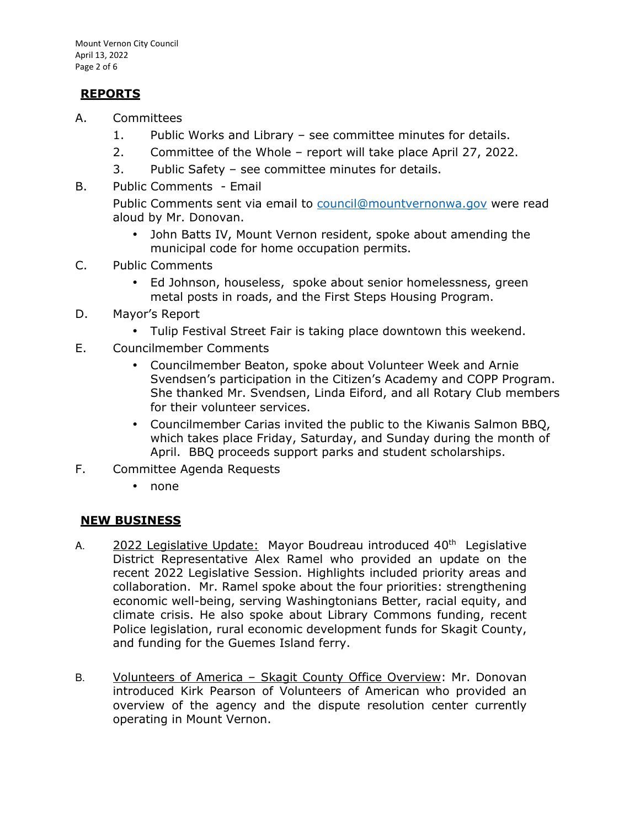# **REPORTS**

- A. Committees
	- 1. Public Works and Library see committee minutes for details.
	- 2. Committee of the Whole report will take place April 27, 2022.
	- 3. Public Safety see committee minutes for details.
- B. Public Comments Email

Public Comments sent via email to council@mountvernonwa.gov were read aloud by Mr. Donovan.

- John Batts IV, Mount Vernon resident, spoke about amending the municipal code for home occupation permits.
- C. Public Comments
	- Ed Johnson, houseless, spoke about senior homelessness, green metal posts in roads, and the First Steps Housing Program.
- D. Mayor's Report
	- Tulip Festival Street Fair is taking place downtown this weekend.
- E. Councilmember Comments
	- Councilmember Beaton, spoke about Volunteer Week and Arnie Svendsen's participation in the Citizen's Academy and COPP Program. She thanked Mr. Svendsen, Linda Eiford, and all Rotary Club members for their volunteer services.
	- Councilmember Carias invited the public to the Kiwanis Salmon BBQ, which takes place Friday, Saturday, and Sunday during the month of April. BBQ proceeds support parks and student scholarships.
- F. Committee Agenda Requests
	- none

# **NEW BUSINESS**

- A. 2022 Legislative Update: Mayor Boudreau introduced 40<sup>th</sup> Legislative District Representative Alex Ramel who provided an update on the recent 2022 Legislative Session. Highlights included priority areas and collaboration. Mr. Ramel spoke about the four priorities: strengthening economic well-being, serving Washingtonians Better, racial equity, and climate crisis. He also spoke about Library Commons funding, recent Police legislation, rural economic development funds for Skagit County, and funding for the Guemes Island ferry.
- B. Volunteers of America Skagit County Office Overview: Mr. Donovan introduced Kirk Pearson of Volunteers of American who provided an overview of the agency and the dispute resolution center currently operating in Mount Vernon.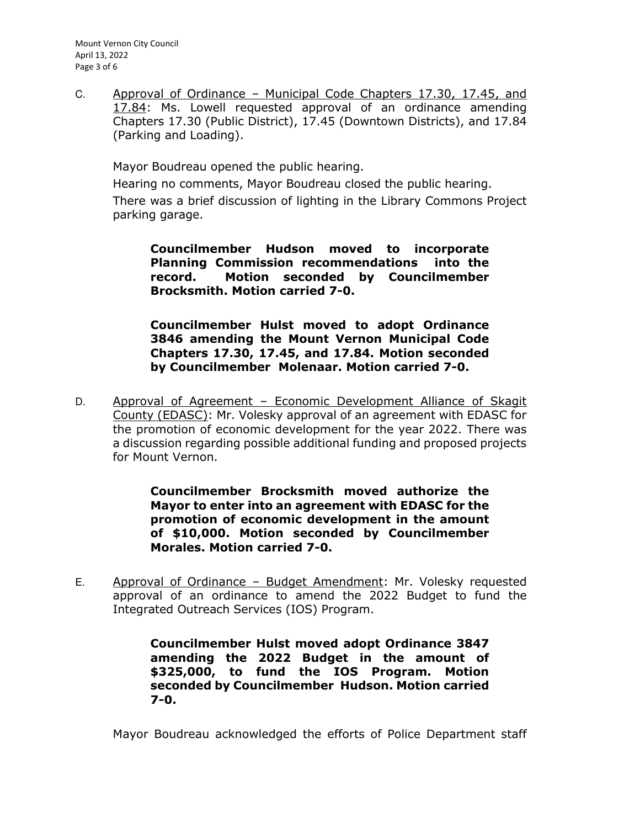Mount Vernon City Council April 13, 2022 Page 3 of 6

C. Approval of Ordinance – Municipal Code Chapters 17.30, 17.45, and 17.84: Ms. Lowell requested approval of an ordinance amending Chapters 17.30 (Public District), 17.45 (Downtown Districts), and 17.84 (Parking and Loading).

Mayor Boudreau opened the public hearing.

Hearing no comments, Mayor Boudreau closed the public hearing. There was a brief discussion of lighting in the Library Commons Project parking garage.

**Councilmember Hudson moved to incorporate Planning Commission recommendations into the record. Motion seconded by Councilmember Brocksmith. Motion carried 7-0.** 

**Councilmember Hulst moved to adopt Ordinance 3846 amending the Mount Vernon Municipal Code Chapters 17.30, 17.45, and 17.84. Motion seconded by Councilmember Molenaar. Motion carried 7-0.** 

D. Approval of Agreement - Economic Development Alliance of Skagit County (EDASC): Mr. Volesky approval of an agreement with EDASC for the promotion of economic development for the year 2022. There was a discussion regarding possible additional funding and proposed projects for Mount Vernon.

> **Councilmember Brocksmith moved authorize the Mayor to enter into an agreement with EDASC for the promotion of economic development in the amount of \$10,000. Motion seconded by Councilmember Morales. Motion carried 7-0.**

E. Approval of Ordinance – Budget Amendment: Mr. Volesky requested approval of an ordinance to amend the 2022 Budget to fund the Integrated Outreach Services (IOS) Program.

> **Councilmember Hulst moved adopt Ordinance 3847 amending the 2022 Budget in the amount of \$325,000, to fund the IOS Program. Motion seconded by Councilmember Hudson. Motion carried 7-0.**

Mayor Boudreau acknowledged the efforts of Police Department staff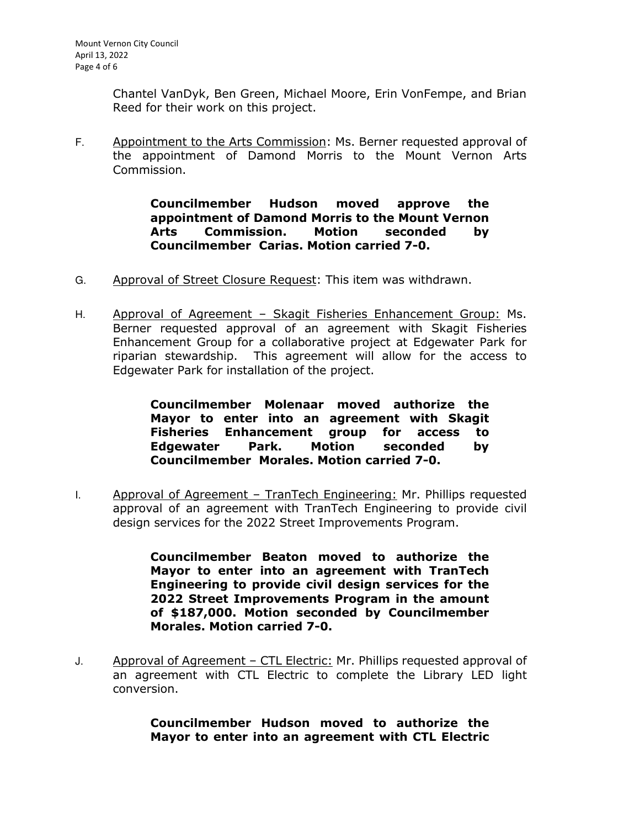Chantel VanDyk, Ben Green, Michael Moore, Erin VonFempe, and Brian Reed for their work on this project.

F. Appointment to the Arts Commission: Ms. Berner requested approval of the appointment of Damond Morris to the Mount Vernon Arts Commission.

> **Councilmember Hudson moved approve the appointment of Damond Morris to the Mount Vernon Arts Commission. Motion seconded by Councilmember Carias. Motion carried 7-0.**

- G. Approval of Street Closure Request: This item was withdrawn.
- H. Approval of Agreement Skagit Fisheries Enhancement Group: Ms. Berner requested approval of an agreement with Skagit Fisheries Enhancement Group for a collaborative project at Edgewater Park for riparian stewardship. This agreement will allow for the access to Edgewater Park for installation of the project.

**Councilmember Molenaar moved authorize the Mayor to enter into an agreement with Skagit Fisheries Enhancement group for access to Edgewater Park. Motion seconded by Councilmember Morales. Motion carried 7-0.** 

I. Approval of Agreement - TranTech Engineering: Mr. Phillips requested approval of an agreement with TranTech Engineering to provide civil design services for the 2022 Street Improvements Program.

> **Councilmember Beaton moved to authorize the Mayor to enter into an agreement with TranTech Engineering to provide civil design services for the 2022 Street Improvements Program in the amount of \$187,000. Motion seconded by Councilmember Morales. Motion carried 7-0.**

J. Approval of Agreement – CTL Electric: Mr. Phillips requested approval of an agreement with CTL Electric to complete the Library LED light conversion.

> **Councilmember Hudson moved to authorize the Mayor to enter into an agreement with CTL Electric**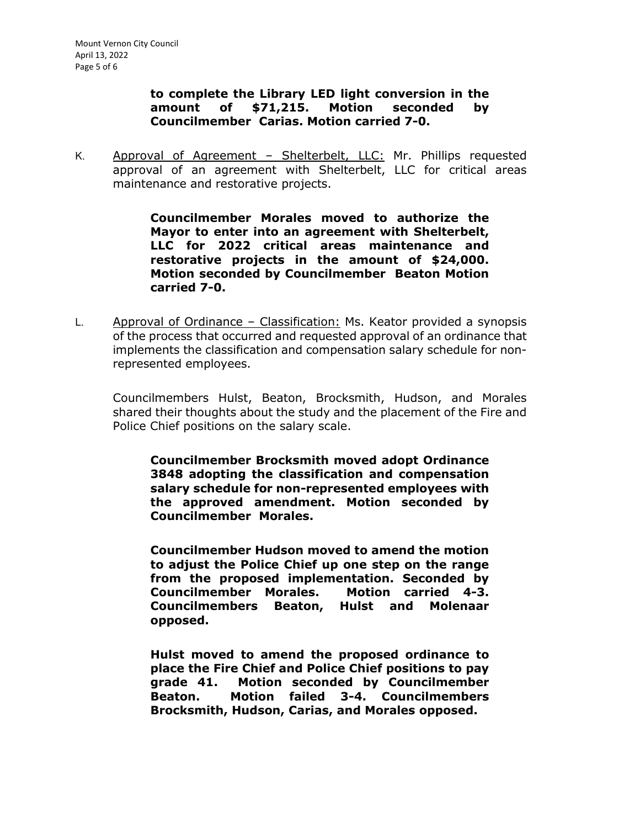## **to complete the Library LED light conversion in the amount of \$71,215. Motion seconded by Councilmember Carias. Motion carried 7-0.**

K. Approval of Agreement – Shelterbelt, LLC: Mr. Phillips requested approval of an agreement with Shelterbelt, LLC for critical areas maintenance and restorative projects.

> **Councilmember Morales moved to authorize the Mayor to enter into an agreement with Shelterbelt, LLC for 2022 critical areas maintenance and restorative projects in the amount of \$24,000. Motion seconded by Councilmember Beaton Motion carried 7-0.**

L. Approval of Ordinance – Classification: Ms. Keator provided a synopsis of the process that occurred and requested approval of an ordinance that implements the classification and compensation salary schedule for nonrepresented employees.

Councilmembers Hulst, Beaton, Brocksmith, Hudson, and Morales shared their thoughts about the study and the placement of the Fire and Police Chief positions on the salary scale.

**Councilmember Brocksmith moved adopt Ordinance 3848 adopting the classification and compensation salary schedule for non-represented employees with the approved amendment. Motion seconded by Councilmember Morales.** 

**Councilmember Hudson moved to amend the motion to adjust the Police Chief up one step on the range from the proposed implementation. Seconded by Councilmember Morales. Motion carried 4-3. Councilmembers Beaton, Hulst and Molenaar opposed.** 

**Hulst moved to amend the proposed ordinance to place the Fire Chief and Police Chief positions to pay grade 41. Motion seconded by Councilmember Beaton. Motion failed 3-4. Councilmembers Brocksmith, Hudson, Carias, and Morales opposed.**